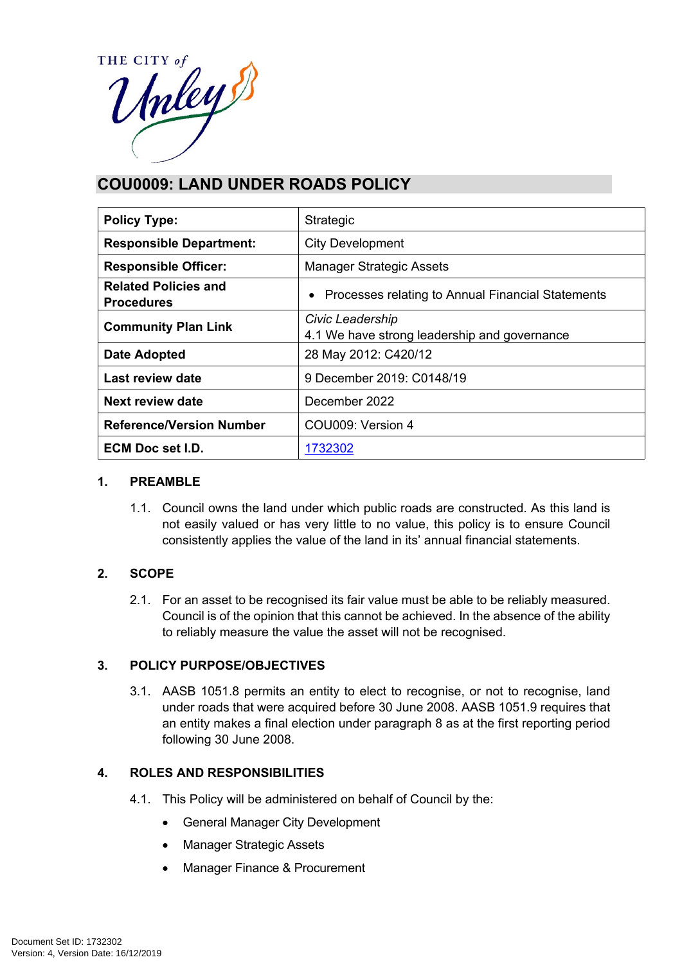

# **COU0009: LAND UNDER ROADS POLICY**

| <b>Policy Type:</b>                              | Strategic                                                        |  |
|--------------------------------------------------|------------------------------------------------------------------|--|
| <b>Responsible Department:</b>                   | <b>City Development</b>                                          |  |
| <b>Responsible Officer:</b>                      | <b>Manager Strategic Assets</b>                                  |  |
| <b>Related Policies and</b><br><b>Procedures</b> | Processes relating to Annual Financial Statements<br>$\bullet$   |  |
| <b>Community Plan Link</b>                       | Civic Leadership<br>4.1 We have strong leadership and governance |  |
| <b>Date Adopted</b>                              | 28 May 2012: C420/12                                             |  |
| <b>Last review date</b>                          | 9 December 2019: C0148/19                                        |  |
| <b>Next review date</b>                          | December 2022                                                    |  |
| <b>Reference/Version Number</b>                  | COU009: Version 4                                                |  |
| <b>ECM Doc set I.D.</b>                          | 1732302                                                          |  |

## **1. PREAMBLE**

1.1. Council owns the land under which public roads are constructed. As this land is not easily valued or has very little to no value, this policy is to ensure Council consistently applies the value of the land in its' annual financial statements.

# **2. SCOPE**

2.1. For an asset to be recognised its fair value must be able to be reliably measured. Council is of the opinion that this cannot be achieved. In the absence of the ability to reliably measure the value the asset will not be recognised.

# **3. POLICY PURPOSE/OBJECTIVES**

3.1. AASB 1051.8 permits an entity to elect to recognise, or not to recognise, land under roads that were acquired before 30 June 2008. AASB 1051.9 requires that an entity makes a final election under paragraph 8 as at the first reporting period following 30 June 2008.

#### **4. ROLES AND RESPONSIBILITIES**

- 4.1. This Policy will be administered on behalf of Council by the:
	- General Manager City Development
	- Manager Strategic Assets
	- Manager Finance & Procurement